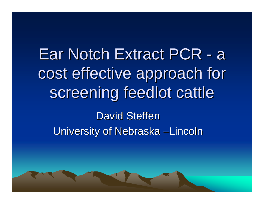Ear Notch Extract PCR - a cost effective approach for screening feedlot cattle David Steffen

University of Nebraska –Lincoln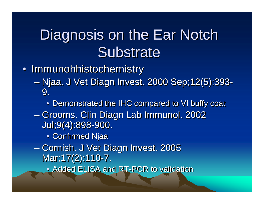# Diagnosis on the Ear Notch Diagnosis on the Ear Notch Substrate Substrate

- Immunohhistochemistry Immunohhistochemistry
	- Njaa. J Vet Diagn Invest. 2000 Sep;12(5):393- 9. 9. Njaa. J Vet Diagn Invest. 2000 Sep;12(5):393-
		- Demonstrated the IHC compared to VI buffy coat Demonstrated the IHC compared to VI buffy coat
	- Grooms. Clin Diagn Lab Immunol. 2002 Jul;9(4):898-900. Jul;9(4):898-900. – Grooms. Clin Diagn Lab Immunol. 2002
		- Confirmed Njaa Confirmed Njaa
	- Cornish. J Vet Diagn Invest. 2005 Mar;17(2):110-7. Mar;17(2):110-7. Cornish. J Vet Diagn Invest. 2005
		- Added ELISA and RT-PCR to validation Added ELISA and RT-PCR to validation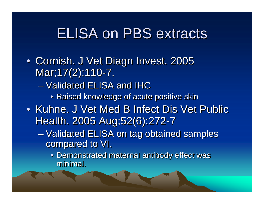## **ELISA on PBS extracts**

- Cornish. J Vet Diagn Invest. 2005 Cornish. J Vet Diagn Invest. 2005 Mar;17(2):110-7. Mar;17(2):110-7.
	- –Validated ELISA and IHC Validated ELISA and IHC
		- Raised knowledge of acute positive skin Raised knowledge of acute positive skin
- Kuhne. J Vet Med B Infect Dis Vet Public Kuhne. J Vet Med B Infect Dis Vet Public Health. 2005 Aug;52(6):272-7 Health. 2005 Aug;52(6):272-7
	- Validated ELISA on tag obtained samples compared to VI. compared to VI. Validated ELISA on tag obtained samples
		- Demonstrated maternal antibody effect was Demonstrated maternal antibody effect was minimal. minimal.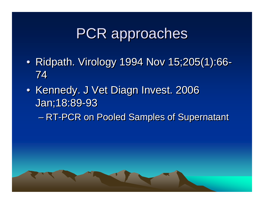## PCR approaches

- Ridpath. Virology 1994 Nov 15;205(1):66- Ridpath. Virology 1994 Nov 15;205(1):66- 74
- Kennedy. J Vet Diagn Invest. 2006 Kennedy. J Vet Diagn Invest. 2006 Jan;18:89-93 Jan;18:89-93

 RT-PCR on Pooled Samples of Supernatant en al control de la control de RT-PCR on Pooled Samples of Supernatant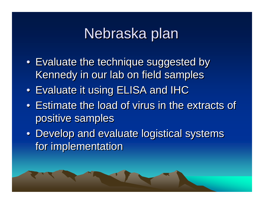## Nebraska plan

- Evaluate the technique suggested by Evaluate the technique suggested by Kennedy in our lab on field samples Kennedy in our lab on field samples
- Evaluate it using ELISA and IHC Evaluate it using ELISA and IHC
- Estimate the load of virus in the extracts of Estimate the load of virus in the extracts of positive samples positive samples
- Develop and evaluate logistical systems Develop and evaluate logistical systems for implementation for implementation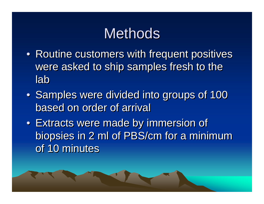## **Methods**

- Routine customers with frequent positives Routine customers with frequent positives were asked to ship samples fresh to the were asked to ship samples fresh to the lab
- Samples were divided into groups of 100 Samples were divided into groups of 100 based on order of arrival based on order of arrival
- Extracts were made by immersion of Extracts were made by immersion of biopsies in 2 ml of PBS/cm for a minimum biopsies in 2 ml of PBS/cm for a minimum of 10 minutes of 10 minutes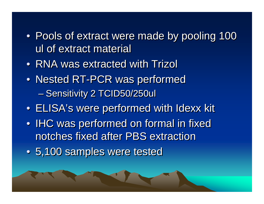- Pools of extract were made by pooling 100 Pools of extract were made by pooling 100 ul of extract material ul of extract material
- RNA was extracted with Trizol RNA was extracted with Trizol
- Nested RT-PCR was performed Nested RT-PCR was performed – Sensitivity 2 TCID50/250ul – Sensitivity 2 TCID50/250ul
- ELISA's were performed with Idexx kit ELISA's were performed with Idexx kit
- IHC was performed on formal in fixed IHC was performed on formal in fixed notches fixed after PBS extraction notches fixed after PBS extraction
- 5,100 samples were tested 5,100 samples were tested

en al control de la control de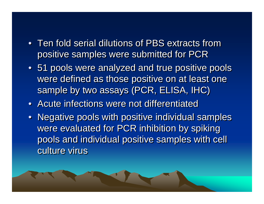- Ten fold serial dilutions of PBS extracts from Ten fold serial dilutions of PBS extracts from positive samples were submitted for PCR positive samples were submitted for PCR
- 51 pools were analyzed and true positive pools 51 pools were analyzed and true positive pools were defined as those positive on at least one were defined as those positive on at least one sample by two assays (PCR, ELISA, IHC) sample by two assays (PCR, ELISA, IHC)
- Acute infections were not differentiated
- Negative pools with positive individual samples Negative pools with positive individual samples were evaluated for PCR inhibition by spiking were evaluated for PCR inhibition by spiking pools and individual positive samples with cell pools and individual positive samples with cell culture virus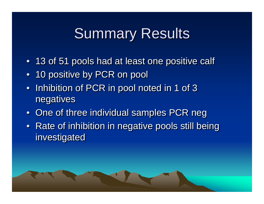## **Summary Results**

- 13 of 51 pools had at least one positive calf 13 of 51 pools had at least one positive calf
- • 10 positive by PCR on pool 10 positive by PCR on pool  $\bullet$
- Inhibition of PCR in pool noted in 1 of 3 Inhibition of PCR in pool noted in 1 of 3 negatives negatives
- One of three individual samples PCR neg One of three individual samples PCR neg
- Rate of inhibition in negative pools still being Rate of inhibition in negative pools still being investigated investigated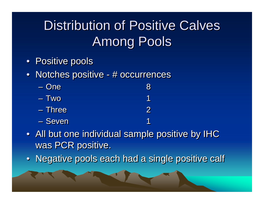## Distribution of Positive Calves Among Pools Among Pools

- Positive pools Positive pools
- •Notches positive - # occurrences Notches positive - # occurrences  $\bullet$

| $-$ One   | 8        |
|-----------|----------|
| – Two     |          |
| $-$ Three | $\bf{2}$ |
| - Seven   |          |

- All but one individual sample positive by IHC All but one individual sample positive by IHC was PCR positive. was PCR positive.
- Negative pools each had a single positive calf Negative pools each had a single positive calf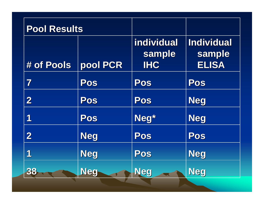| <b>Pool Results</b>     |            |                                    |                                             |
|-------------------------|------------|------------------------------------|---------------------------------------------|
| # of Pools              | pool PCR   | individual<br>sample<br><b>IHC</b> | <b>Individual</b><br>sample<br><b>ELISA</b> |
| 7                       | Pos        | Pos                                | Pos                                         |
| $\overline{\mathbf{2}}$ | Pos        | Pos                                | <b>Neg</b>                                  |
| 1                       | Pos        | Neg*                               | <b>Neg</b>                                  |
| $\overline{\mathbf{2}}$ | <b>Neg</b> | Pos                                | Pos                                         |
| 1                       | <b>Neg</b> | Pos                                | <b>Neg</b>                                  |
| 38                      | Neg        | Neg                                | <b>Neg</b>                                  |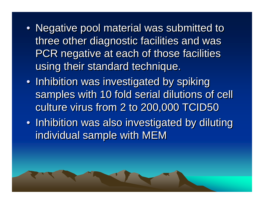- Negative pool material was submitted to Negative pool material was submitted to three other diagnostic facilities and was three other diagnostic facilities and was PCR negative at each of those facilities PCR negative at each of those facilities using their standard technique. using their standard technique.
- Inhibition was investigated by spiking Inhibition was investigated by spiking samples with 10 fold serial dilutions of cell samples with 10 fold serial dilutions of cell culture virus from 2 to 200,000 TCID50 culture virus from 2 to 200,000 TCID50
- Inhibition was also investigated by diluting Inhibition was also investigated by diluting individual sample with MEM individual sample with MEM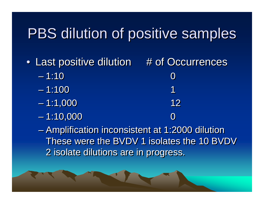## PBS dilution of positive samples

- Last positive dilution # of Occurrences – 1:10 $\boldsymbol{0}$ –1:10011 $-1:1,000$  and  $12$  1:10,000  $\boldsymbol{0}$ – 1:10–1:100en al control de la control de  $-$  1:1,000  $-$  12  $-$  12  $-$ – 1:10,000
	- Amplification inconsistent at 1:2000 dilution These were the BVDV 1 isolates the 10 BVDV These were the BVDV 1 isolates the 10 BVDV 2 isolate dilutions are in progress. 2 isolate dilutions are in progress. –Amplification inconsistent at 1:2000 dilution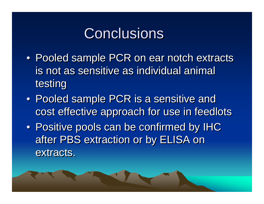## Conclusions

- Pooled sample PCR on ear notch extracts Pooled sample PCR on ear notch extracts is not as sensitive as individual animal is not as sensitive as individual animal testing testing
- Pooled sample PCR is a sensitive and Pooled sample PCR is a sensitive and cost effective approach for use in feedlots cost effective approach for use in feedlots
- Positive pools can be confirmed by IHC Positive pools can be confirmed by IHC after PBS extraction or by ELISA on after PBS extraction or by ELISA on extracts. extracts.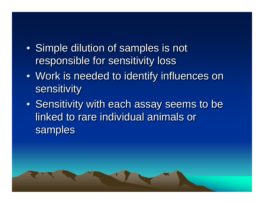- Simple dilution of samples is not Simple dilution of samples is not responsible for sensitivity loss responsible for sensitivity loss
- Work is needed to identify influences on Work is needed to identify influences on sensitivity sensitivity
- Sensitivity with each assay seems to be Sensitivity with each assay seems to be linked to rare individual animals or linked to rare individual animals or samples samples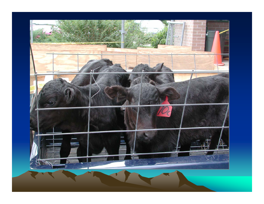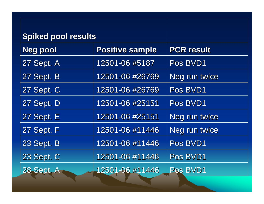| <b>Spiked pool results</b> |                        |                   |
|----------------------------|------------------------|-------------------|
| <b>Neg pool</b>            | <b>Positive sample</b> | <b>PCR result</b> |
| 27 Sept. A                 | 12501-06 #5187         | Pos BVD1          |
| 27 Sept. B                 | 12501-06 #26769        | Neg run twice     |
| 27 Sept. C                 | 12501-06 #26769        | Pos BVD1          |
| 27 Sept. D                 | 12501-06 #25151        | Pos BVD1          |
| <b>27 Sept. E</b>          | 12501-06 #25151        | Neg run twice     |
| 27 Sept. F                 | 12501-06 #11446        | Neg run twice     |
| 23 Sept. B                 | 12501-06 #11446        | Pos BVD1          |
| <b>23 Sept. C</b>          | 12501-06 #11446        | Pos BVD1          |
| <b>28 Sept. A</b>          | 12501-06 #11446        | Pos BVD1          |